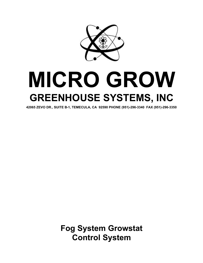

# **MICRO GROW GREENHOUSE SYSTEMS, INC**

**42065 ZEVO DR., SUITE B-1, TEMECULA, CA 92590 PHONE (951)-296-3340 FAX (951)-296-3350**

**Fog System Growstat Control System**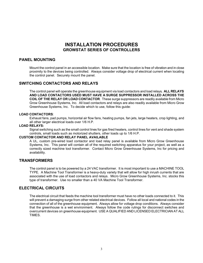# **INSTALLATION PROCEDURES GROWSTAT SERIES OF CONTROLLERS**

## **PANEL MOUNTING**

Mount the control panel in an accessible location. Make sure that the location is free of vibration and in close proximity to the devices being controlled. Always consider voltage drop of electrical current when locating the control panel. Securely mount the panel.

### **SWITCHING CONTACTORS AND RELAYS**

The control panel will operate the greenhouse equipment via load contactors and load relays**. ALL RELAYS AND LOAD CONTACTORS USED MUST HAVE A SURGE SUPPRESSOR INSTALLED ACROSS THE COIL OF THE RELAY OR LOAD CONTACTOR**. These surge suppressors are readily available from Micro Grow Greenhouse Systems, Inc. All load contactors and relays are also readily available from Micro Grow Greenhouse Systems, Inc. To decide which to use, follow this guide:

#### **LOAD CONTACTORS**:

Exhaust fans, pad pumps, horizontal air flow fans, heating pumps, fan jets, large heaters, crop lighting, and all other larger electrical loads over 1/6 H.P.

#### **LOAD RELAYS:**

Signal switching such as the small control lines for gas fired heaters, control lines for vent and shade system controls, small loads such as motorized shutters, other loads up to 1/6 H.P.

#### **CUSTOM CONTACTOR AND RELAY PANEL AVAILABLE**

A UL, custom pre-wired load contactor and load relay panel is available from Micro Grow Greenhouse Systems, Inc. This panel will contain all of the required switching apparatus for your project, as well as a correctly sized machine tool transformer. Contact Micro Grow Greenhouse Systems, Inc for pricing and availability.

### **TRANSFORMERS**

The control panel is to be powered by a 24 VAC transformer. It is most important to use a MACHINE TOOL TYPE. A Machine Tool Transformer is a heavy-duty variety that will allow for high inrush currents that are associated with the use of load contactors and relays. Micro Grow Greenhouse Systems, Inc. stocks this type of transformer. Use no smaller than a 40 VA Machine Tool Transformer.

### **ELECTRICAL CIRCUITS**

The electrical circuit that feeds the machine tool transformer must have no other loads connected to it. This will prevent a damaging surge from other related electrical devices. Follow all local and national codes in the connection of all of the greenhouse equipment. Always allow for voltage drop conditions. Always consider that the greenhouse is a wet environment. Always follow the code rulings for disconnect switches and overcurrent devices on greenhouse equipment. USE A QUALIFIED AND LICENSED ELECTRICIAN AT ALL **TIMES**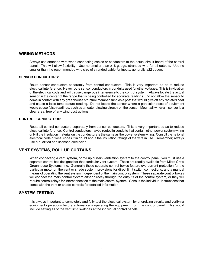#### **WIRING METHODS**

Always use stranded wire when connecting cables or conductors to the actual circuit board of the control panel. This will allow flexibility. Use no smaller than #18 gauge, stranded wire for all outputs. Use no smaller than the recommended wire size of stranded cable for inputs; generally #22 gauge.

#### **SENSOR CONDUCTORS:**

Route sensor conductors separately from control conductors. This is very important so as to reduce electrical interference. Never route sensor conductors in conduits used for other voltages. This is in violation of the electrical code and will cause dangerous interference to the control system. Always locate the actual sensor in the center of the range that is being controlled for accurate readings. Do not allow the sensor to come in contact with any greenhouse structure member such as a post that would give off any radiated heat and cause a false temperature reading. Do not locate the sensor where a particular piece of equipment would cause false readings, such as a heater blowing directly on the sensor. Mount all wind/rain sensor is a clear area, free of any wind obstructions.

#### **CONTROL CONDUCTORS:**

Route all control conductors separately from sensor conductors. This is very important so as to reduce electrical interference. Control conductors maybe routed in conduits that contain other power system wiring only if the insulation material on the conductors is the same as the power system wiring. Consult the national electrical code or local codes if in doubt about the insulation ratings of the wire in use. Remember; always use a qualified and licensed electrician.

### **VENT SYSTEMS, ROLL UP CURTAINS**

When connecting a vent system, or roll up curtain ventilation system to the control panel, you must use a separate control box designed for that particular vent system. These are readily available from Micro Grow Greenhouse Systems, Inc. Generally these separate control boxes feature overcurrent protection for the particular motor on the vent or shade system, provisions for direct limit switch connections, and a manual means of operating the vent system independent of the main control system. These separate control boxes will connect the main control system either directly through the outputs of the control system, or they will require control relays for interconnection to the main control system. Consult the individual instructions that come with the vent or shade controls for detailed information.

# **SYSTEM TESTING**

It is always important to completely and fully test the electrical system by energizing circuits and verifying equipment operations before automatically operating the equipment from the control panel. This would include setting all of the vent limit switches at the individual control panels.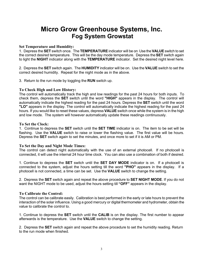# **Micro Grow Greenhouse Systems, Inc. Fog System Growstat**

#### **Set Temperature and Humidity:**

1. Depress the **SET** switch once. The **TEMPERATURE** indicator will be on Use the **VALUE** switch to set the correct desired temperature. This will be the day mode temperature. Depress the **SET** switch again to light the **NIGHT** indicator along with the **TEMPERATURE** indicator. Set the desired night level here.

2. Depress the **SET** switch again. The **HUMIDITY** indicator will be on. Use the **VALUE** switch to set the correct desired humidity. Repeat for the night mode as in the above.

3. Return to the run mode by toggling the **RUN** switch up.

### **To Check High and Low History:**

The control will automatically track the high and low readings for the past 24 hours for both inputs. To check them, depress the **SET** switch until the word **"HIGH"** appears in the display. The control will automatically indicate the highest reading for the past 24 hours. Depress the **SET** switch until the word **"LO"** appears in the display. The control will automatically indicate the highest reading for the past 24 hours. If you would like to reset these values, depress **VALUE** switch once while the system is in the high and low mode. The system will however automatically update these readings continuously.

#### **To Set the Clock:**

1. Continue to depress the **SET** switch until the **SET TIME** indicator is on. The item to be set will be flashing. Use the **VALUE** switch to raise or lower the flashing value. The first value will be hours. Depress the **SET** switch again to set the minutes, and once more to set if it is AM or PM.

### **To Set the Day and Night Mode Times:**

The control can detect night automatically with the use of an external photocell. If no photocell is connected, it will use the internal 24 hour time clock. You can also use a combination of both if desired.

1. Continue to depress the **SET** switch until the **SET DAY MODE** indicator is on. If a photocell is connected to the system, adjust the hours setting till the word **"PHO"** appears in the display. If a photocell is not connected, a time can be set. Use the **VALUE** switch to change the setting.

2. Depress the **SET** switch again and repeat the above procedure to **SET NIGHT MODE**. If you do not want the NIGHT mode to be used, adjust the hours setting till **"OFF"** appears in the display.

### **To Calibrate the Control:**

The control can be calibrate easily. Calibration is best performed in the early or late hours to prevent the interaction of the solar influence. Using a good mercury or digital thermometer and hydrometer, obtain the value to calibrate the control to.

1. Continue to depress the **SET** switch until the **CALIB** is on the display. The first number to appear afterwards is the temperature. Use the **VALUE** switch to change the setting.

2. Depress the **SET** switch again and repeat the above procedure to set the humidity reading. Return to the run mode when finished.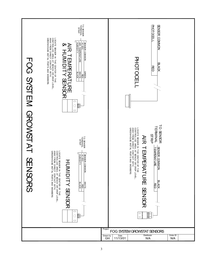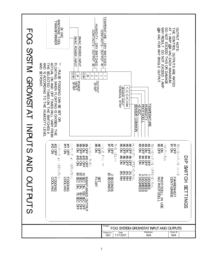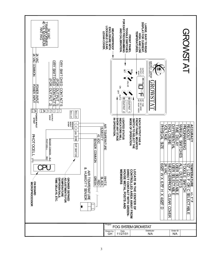